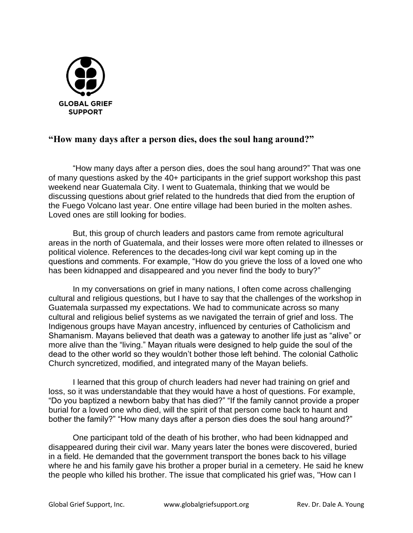

## **"How many days after a person dies, does the soul hang around?"**

"How many days after a person dies, does the soul hang around?" That was one of many questions asked by the 40+ participants in the grief support workshop this past weekend near Guatemala City. I went to Guatemala, thinking that we would be discussing questions about grief related to the hundreds that died from the eruption of the Fuego Volcano last year. One entire village had been buried in the molten ashes. Loved ones are still looking for bodies.

But, this group of church leaders and pastors came from remote agricultural areas in the north of Guatemala, and their losses were more often related to illnesses or political violence. References to the decades-long civil war kept coming up in the questions and comments. For example, "How do you grieve the loss of a loved one who has been kidnapped and disappeared and you never find the body to bury?"

In my conversations on grief in many nations, I often come across challenging cultural and religious questions, but I have to say that the challenges of the workshop in Guatemala surpassed my expectations. We had to communicate across so many cultural and religious belief systems as we navigated the terrain of grief and loss. The Indigenous groups have Mayan ancestry, influenced by centuries of Catholicism and Shamanism. Mayans believed that death was a gateway to another life just as "alive" or more alive than the "living." Mayan rituals were designed to help guide the soul of the dead to the other world so they wouldn't bother those left behind. The colonial Catholic Church syncretized, modified, and integrated many of the Mayan beliefs.

I learned that this group of church leaders had never had training on grief and loss, so it was understandable that they would have a host of questions. For example, "Do you baptized a newborn baby that has died?" "If the family cannot provide a proper burial for a loved one who died, will the spirit of that person come back to haunt and bother the family?" "How many days after a person dies does the soul hang around?"

One participant told of the death of his brother, who had been kidnapped and disappeared during their civil war. Many years later the bones were discovered, buried in a field. He demanded that the government transport the bones back to his village where he and his family gave his brother a proper burial in a cemetery. He said he knew the people who killed his brother. The issue that complicated his grief was, "How can I